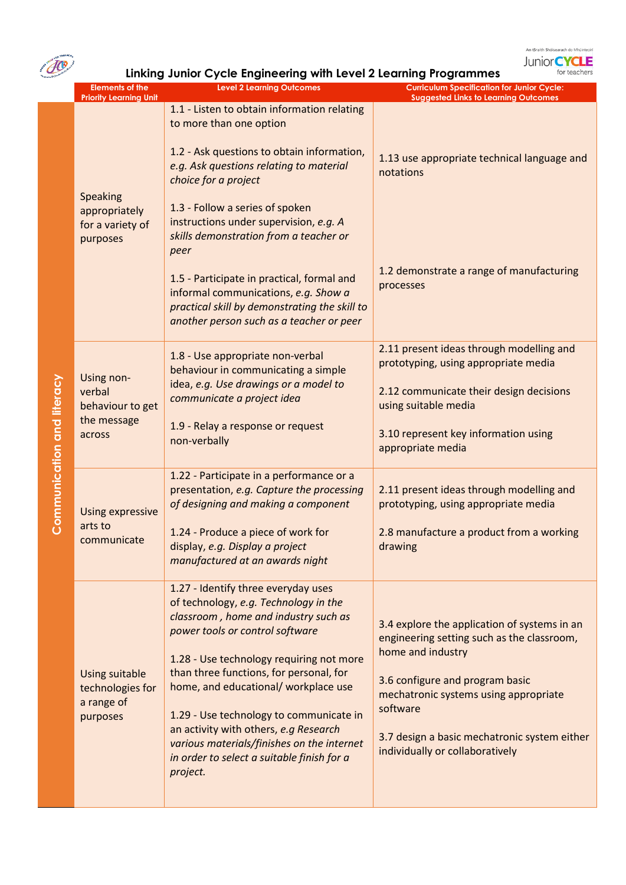

JO

**Linking Junior Cycle Engineering with Level 2 Learning Programmes**

|  | <b>Elements of the</b><br><b>Priority Learning Unit</b>             | <b>Level 2 Learning Outcomes</b>                                                                                                                                                | <b>Curriculum Specification for Junior Cycle:</b><br><b>Suggested Links to Learning Outcomes</b>                                                    |
|--|---------------------------------------------------------------------|---------------------------------------------------------------------------------------------------------------------------------------------------------------------------------|-----------------------------------------------------------------------------------------------------------------------------------------------------|
|  |                                                                     | 1.1 - Listen to obtain information relating<br>to more than one option                                                                                                          |                                                                                                                                                     |
|  |                                                                     | 1.2 - Ask questions to obtain information,<br>e.g. Ask questions relating to material<br>choice for a project                                                                   | 1.13 use appropriate technical language and<br>notations                                                                                            |
|  | Speaking<br>appropriately<br>for a variety of<br>purposes           | 1.3 - Follow a series of spoken<br>instructions under supervision, e.g. A<br>skills demonstration from a teacher or<br>peer                                                     |                                                                                                                                                     |
|  |                                                                     | 1.5 - Participate in practical, formal and<br>informal communications, e.g. Show a<br>practical skill by demonstrating the skill to<br>another person such as a teacher or peer | 1.2 demonstrate a range of manufacturing<br>processes                                                                                               |
|  | Using non-<br>verbal<br>behaviour to get<br>the message<br>across   | 1.8 - Use appropriate non-verbal<br>behaviour in communicating a simple<br>idea, e.g. Use drawings or a model to<br>communicate a project idea                                  | 2.11 present ideas through modelling and<br>prototyping, using appropriate media<br>2.12 communicate their design decisions<br>using suitable media |
|  |                                                                     | 1.9 - Relay a response or request<br>non-verbally                                                                                                                               | 3.10 represent key information using<br>appropriate media                                                                                           |
|  | Using expressive                                                    | 1.22 - Participate in a performance or a<br>presentation, e.g. Capture the processing<br>of designing and making a component                                                    | 2.11 present ideas through modelling and<br>prototyping, using appropriate media                                                                    |
|  | arts to<br>communicate                                              | 1.24 - Produce a piece of work for<br>display, e.g. Display a project<br>manufactured at an awards night                                                                        | 2.8 manufacture a product from a working<br>drawing                                                                                                 |
|  |                                                                     | 1.27 - Identify three everyday uses<br>of technology, e.g. Technology in the<br>classroom, home and industry such as<br>power tools or control software                         | 3.4 explore the application of systems in an<br>engineering setting such as the classroom,                                                          |
|  | <b>Using suitable</b><br>technologies for<br>a range of<br>purposes | 1.28 - Use technology requiring not more<br>than three functions, for personal, for<br>home, and educational/ workplace use<br>1.29 - Use technology to communicate in          | home and industry<br>3.6 configure and program basic<br>mechatronic systems using appropriate<br>software                                           |
|  |                                                                     | an activity with others, e.g Research<br>various materials/finishes on the internet<br>in order to select a suitable finish for a<br>project.                                   | 3.7 design a basic mechatronic system either<br>individually or collaboratively                                                                     |

Communication and literacy **Communication and literacy**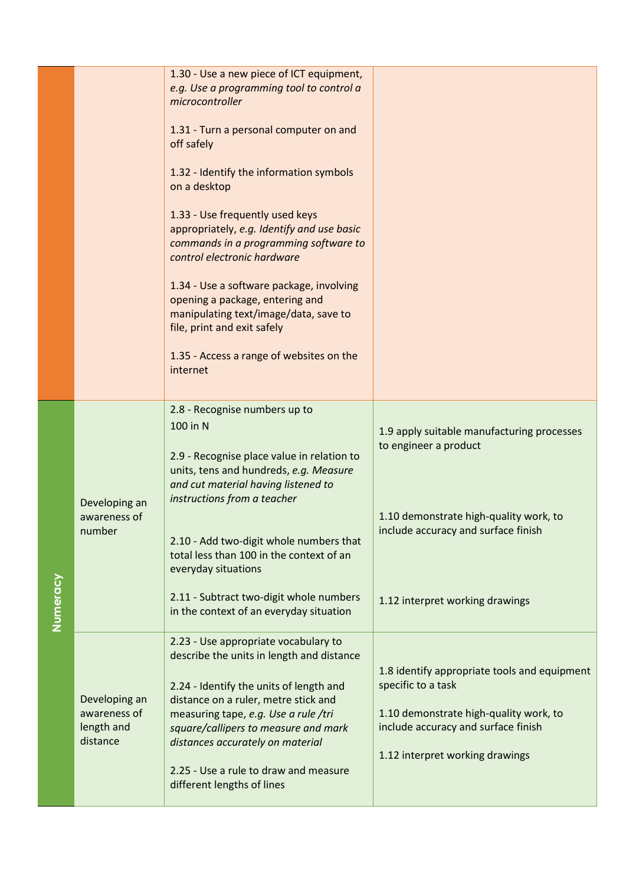|          |                                                         | 1.30 - Use a new piece of ICT equipment,<br>e.g. Use a programming tool to control a<br>microcontroller<br>1.31 - Turn a personal computer on and<br>off safely<br>1.32 - Identify the information symbols<br>on a desktop<br>1.33 - Use frequently used keys<br>appropriately, e.g. Identify and use basic<br>commands in a programming software to<br>control electronic hardware<br>1.34 - Use a software package, involving<br>opening a package, entering and<br>manipulating text/image/data, save to<br>file, print and exit safely<br>1.35 - Access a range of websites on the<br>internet |                                                                                                                                                                                         |
|----------|---------------------------------------------------------|----------------------------------------------------------------------------------------------------------------------------------------------------------------------------------------------------------------------------------------------------------------------------------------------------------------------------------------------------------------------------------------------------------------------------------------------------------------------------------------------------------------------------------------------------------------------------------------------------|-----------------------------------------------------------------------------------------------------------------------------------------------------------------------------------------|
| Numeracy | Developing an<br>awareness of<br>number                 | 2.8 - Recognise numbers up to<br>100 in N<br>2.9 - Recognise place value in relation to<br>units, tens and hundreds, e.g. Measure<br>and cut material having listened to<br>instructions from a teacher<br>2.10 - Add two-digit whole numbers that<br>total less than 100 in the context of an<br>everyday situations<br>2.11 - Subtract two-digit whole numbers<br>in the context of an everyday situation                                                                                                                                                                                        | 1.9 apply suitable manufacturing processes<br>to engineer a product<br>1.10 demonstrate high-quality work, to<br>include accuracy and surface finish<br>1.12 interpret working drawings |
|          | Developing an<br>awareness of<br>length and<br>distance | 2.23 - Use appropriate vocabulary to<br>describe the units in length and distance<br>2.24 - Identify the units of length and<br>distance on a ruler, metre stick and<br>measuring tape, e.g. Use a rule /tri<br>square/callipers to measure and mark<br>distances accurately on material<br>2.25 - Use a rule to draw and measure<br>different lengths of lines                                                                                                                                                                                                                                    | 1.8 identify appropriate tools and equipment<br>specific to a task<br>1.10 demonstrate high-quality work, to<br>include accuracy and surface finish<br>1.12 interpret working drawings  |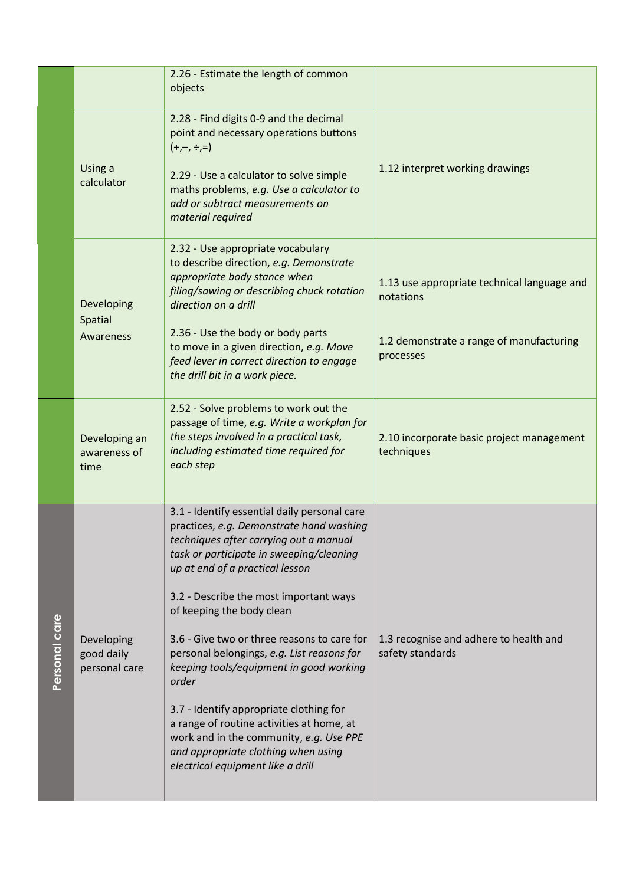|               |                                           | 2.26 - Estimate the length of common<br>objects                                                                                                                                                                                                                                                                                                                                                                                                                                                                                                                                                                                                          |                                                                                                                   |
|---------------|-------------------------------------------|----------------------------------------------------------------------------------------------------------------------------------------------------------------------------------------------------------------------------------------------------------------------------------------------------------------------------------------------------------------------------------------------------------------------------------------------------------------------------------------------------------------------------------------------------------------------------------------------------------------------------------------------------------|-------------------------------------------------------------------------------------------------------------------|
|               | Using a<br>calculator                     | 2.28 - Find digits 0-9 and the decimal<br>point and necessary operations buttons<br>$(+,-, \div, =)$<br>2.29 - Use a calculator to solve simple<br>maths problems, e.g. Use a calculator to<br>add or subtract measurements on<br>material required                                                                                                                                                                                                                                                                                                                                                                                                      | 1.12 interpret working drawings                                                                                   |
|               | Developing<br>Spatial<br>Awareness        | 2.32 - Use appropriate vocabulary<br>to describe direction, e.g. Demonstrate<br>appropriate body stance when<br>filing/sawing or describing chuck rotation<br>direction on a drill<br>2.36 - Use the body or body parts<br>to move in a given direction, e.g. Move<br>feed lever in correct direction to engage<br>the drill bit in a work piece.                                                                                                                                                                                                                                                                                                        | 1.13 use appropriate technical language and<br>notations<br>1.2 demonstrate a range of manufacturing<br>processes |
|               | Developing an<br>awareness of<br>time     | 2.52 - Solve problems to work out the<br>passage of time, e.g. Write a workplan for<br>the steps involved in a practical task,<br>including estimated time required for<br>each step                                                                                                                                                                                                                                                                                                                                                                                                                                                                     | 2.10 incorporate basic project management<br>techniques                                                           |
| Personal care | Developing<br>good daily<br>personal care | 3.1 - Identify essential daily personal care<br>practices, e.g. Demonstrate hand washing<br>techniques after carrying out a manual<br>task or participate in sweeping/cleaning<br>up at end of a practical lesson<br>3.2 - Describe the most important ways<br>of keeping the body clean<br>3.6 - Give two or three reasons to care for<br>personal belongings, e.g. List reasons for<br>keeping tools/equipment in good working<br>order<br>3.7 - Identify appropriate clothing for<br>a range of routine activities at home, at<br>work and in the community, e.g. Use PPE<br>and appropriate clothing when using<br>electrical equipment like a drill | 1.3 recognise and adhere to health and<br>safety standards                                                        |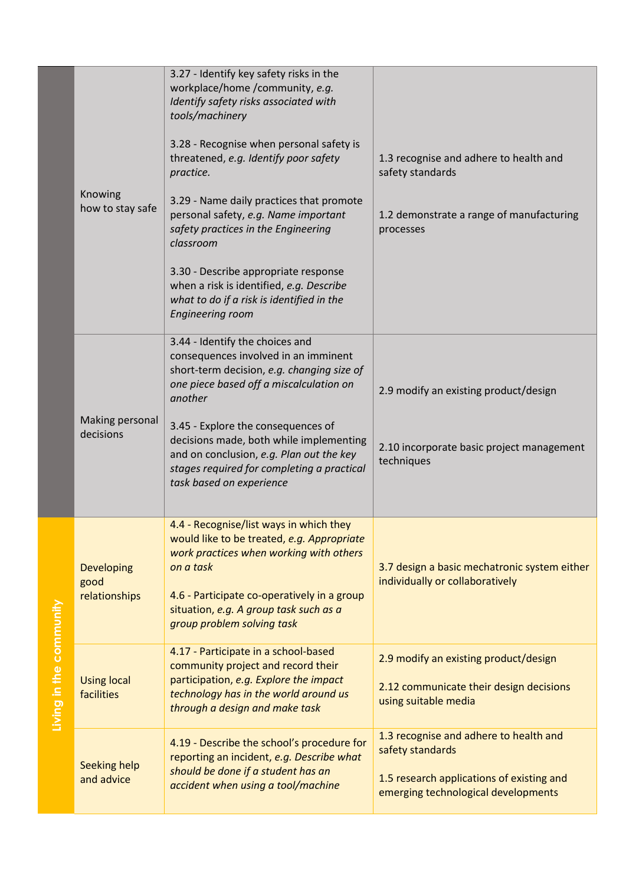|                         |                                     | 3.27 - Identify key safety risks in the<br>workplace/home /community, e.g.<br>Identify safety risks associated with<br>tools/machinery<br>3.28 - Recognise when personal safety is<br>threatened, e.g. Identify poor safety<br>practice.                                                                                                                                           | 1.3 recognise and adhere to health and<br>safety standards                                                                                     |
|-------------------------|-------------------------------------|------------------------------------------------------------------------------------------------------------------------------------------------------------------------------------------------------------------------------------------------------------------------------------------------------------------------------------------------------------------------------------|------------------------------------------------------------------------------------------------------------------------------------------------|
|                         | Knowing<br>how to stay safe         | 3.29 - Name daily practices that promote<br>personal safety, e.g. Name important<br>safety practices in the Engineering<br>classroom<br>3.30 - Describe appropriate response<br>when a risk is identified, e.g. Describe<br>what to do if a risk is identified in the<br><b>Engineering room</b>                                                                                   | 1.2 demonstrate a range of manufacturing<br>processes                                                                                          |
|                         | Making personal<br>decisions        | 3.44 - Identify the choices and<br>consequences involved in an imminent<br>short-term decision, e.g. changing size of<br>one piece based off a miscalculation on<br>another<br>3.45 - Explore the consequences of<br>decisions made, both while implementing<br>and on conclusion, e.g. Plan out the key<br>stages required for completing a practical<br>task based on experience | 2.9 modify an existing product/design<br>2.10 incorporate basic project management<br>techniques                                               |
|                         | Developing<br>good<br>relationships | 4.4 - Recognise/list ways in which they<br>would like to be treated, e.g. Appropriate<br>work practices when working with others<br>on a task<br>4.6 - Participate co-operatively in a group<br>situation, e.g. A group task such as a<br>group problem solving task                                                                                                               | 3.7 design a basic mechatronic system either<br>individually or collaboratively                                                                |
| Living in the community | <b>Using local</b><br>facilities    | 4.17 - Participate in a school-based<br>community project and record their<br>participation, e.g. Explore the impact<br>technology has in the world around us<br>through a design and make task                                                                                                                                                                                    | 2.9 modify an existing product/design<br>2.12 communicate their design decisions<br>using suitable media                                       |
|                         | <b>Seeking help</b><br>and advice   | 4.19 - Describe the school's procedure for<br>reporting an incident, e.g. Describe what<br>should be done if a student has an<br>accident when using a tool/machine                                                                                                                                                                                                                | 1.3 recognise and adhere to health and<br>safety standards<br>1.5 research applications of existing and<br>emerging technological developments |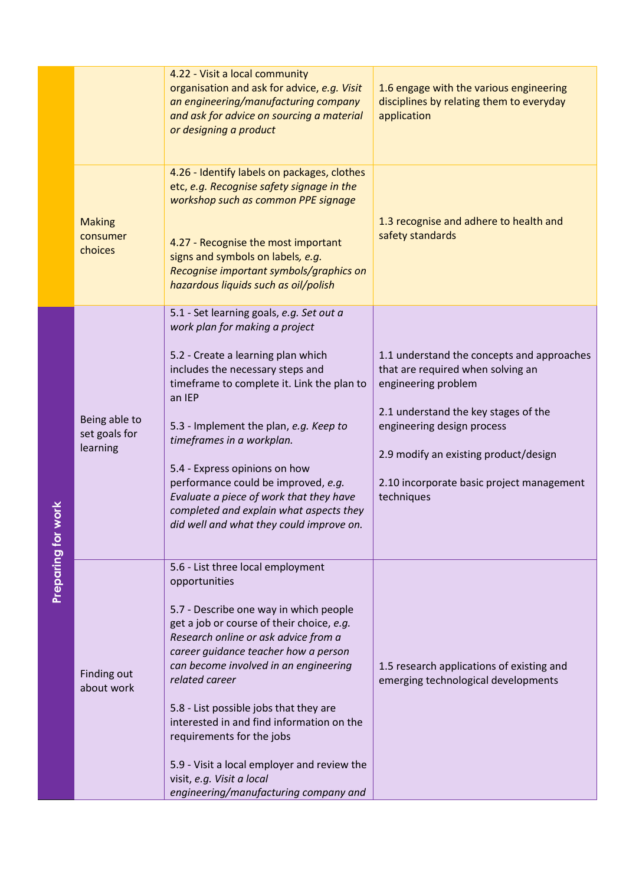|                      |                                            | 4.22 - Visit a local community<br>organisation and ask for advice, e.g. Visit<br>an engineering/manufacturing company<br>and ask for advice on sourcing a material<br>or designing a product                                                                                                                                                                                                                                                                                                                                  | 1.6 engage with the various engineering<br>disciplines by relating them to everyday<br>application                                                                                                                                                                               |
|----------------------|--------------------------------------------|-------------------------------------------------------------------------------------------------------------------------------------------------------------------------------------------------------------------------------------------------------------------------------------------------------------------------------------------------------------------------------------------------------------------------------------------------------------------------------------------------------------------------------|----------------------------------------------------------------------------------------------------------------------------------------------------------------------------------------------------------------------------------------------------------------------------------|
|                      | <b>Making</b><br>consumer<br>choices       | 4.26 - Identify labels on packages, clothes<br>etc, e.g. Recognise safety signage in the<br>workshop such as common PPE signage<br>4.27 - Recognise the most important<br>signs and symbols on labels, e.g.<br>Recognise important symbols/graphics on<br>hazardous liquids such as oil/polish                                                                                                                                                                                                                                | 1.3 recognise and adhere to health and<br>safety standards                                                                                                                                                                                                                       |
| work                 | Being able to<br>set goals for<br>learning | 5.1 - Set learning goals, e.g. Set out a<br>work plan for making a project<br>5.2 - Create a learning plan which<br>includes the necessary steps and<br>timeframe to complete it. Link the plan to<br>an IEP<br>5.3 - Implement the plan, e.g. Keep to<br>timeframes in a workplan.<br>5.4 - Express opinions on how<br>performance could be improved, e.g.<br>Evaluate a piece of work that they have<br>completed and explain what aspects they<br>did well and what they could improve on.                                 | 1.1 understand the concepts and approaches<br>that are required when solving an<br>engineering problem<br>2.1 understand the key stages of the<br>engineering design process<br>2.9 modify an existing product/design<br>2.10 incorporate basic project management<br>techniques |
| <b>Preparing for</b> | Finding out<br>about work                  | 5.6 - List three local employment<br>opportunities<br>5.7 - Describe one way in which people<br>get a job or course of their choice, e.g.<br>Research online or ask advice from a<br>career guidance teacher how a person<br>can become involved in an engineering<br>related career<br>5.8 - List possible jobs that they are<br>interested in and find information on the<br>requirements for the jobs<br>5.9 - Visit a local employer and review the<br>visit, e.g. Visit a local<br>engineering/manufacturing company and | 1.5 research applications of existing and<br>emerging technological developments                                                                                                                                                                                                 |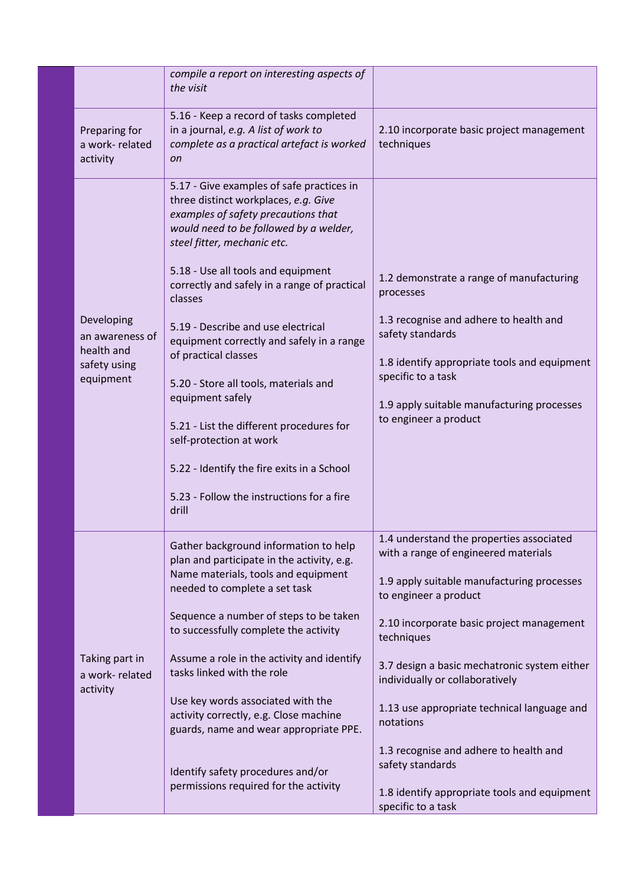|                                                                          | compile a report on interesting aspects of<br>the visit                                                                                                                                                                                                                                                                                                                                                                                                                                                                                                                                                                                               |                                                                                                                                                                                                                                                                                                                                                                                                                                                                                                       |
|--------------------------------------------------------------------------|-------------------------------------------------------------------------------------------------------------------------------------------------------------------------------------------------------------------------------------------------------------------------------------------------------------------------------------------------------------------------------------------------------------------------------------------------------------------------------------------------------------------------------------------------------------------------------------------------------------------------------------------------------|-------------------------------------------------------------------------------------------------------------------------------------------------------------------------------------------------------------------------------------------------------------------------------------------------------------------------------------------------------------------------------------------------------------------------------------------------------------------------------------------------------|
| Preparing for<br>a work-related<br>activity                              | 5.16 - Keep a record of tasks completed<br>in a journal, e.g. A list of work to<br>complete as a practical artefact is worked<br><sub>on</sub>                                                                                                                                                                                                                                                                                                                                                                                                                                                                                                        | 2.10 incorporate basic project management<br>techniques                                                                                                                                                                                                                                                                                                                                                                                                                                               |
| Developing<br>an awareness of<br>health and<br>safety using<br>equipment | 5.17 - Give examples of safe practices in<br>three distinct workplaces, e.g. Give<br>examples of safety precautions that<br>would need to be followed by a welder,<br>steel fitter, mechanic etc.<br>5.18 - Use all tools and equipment<br>correctly and safely in a range of practical<br>classes<br>5.19 - Describe and use electrical<br>equipment correctly and safely in a range<br>of practical classes<br>5.20 - Store all tools, materials and<br>equipment safely<br>5.21 - List the different procedures for<br>self-protection at work<br>5.22 - Identify the fire exits in a School<br>5.23 - Follow the instructions for a fire<br>drill | 1.2 demonstrate a range of manufacturing<br>processes<br>1.3 recognise and adhere to health and<br>safety standards<br>1.8 identify appropriate tools and equipment<br>specific to a task<br>1.9 apply suitable manufacturing processes<br>to engineer a product                                                                                                                                                                                                                                      |
| Taking part in<br>a work-related<br>activity                             | Gather background information to help<br>plan and participate in the activity, e.g.<br>Name materials, tools and equipment<br>needed to complete a set task<br>Sequence a number of steps to be taken<br>to successfully complete the activity<br>Assume a role in the activity and identify<br>tasks linked with the role<br>Use key words associated with the<br>activity correctly, e.g. Close machine<br>guards, name and wear appropriate PPE.<br>Identify safety procedures and/or<br>permissions required for the activity                                                                                                                     | 1.4 understand the properties associated<br>with a range of engineered materials<br>1.9 apply suitable manufacturing processes<br>to engineer a product<br>2.10 incorporate basic project management<br>techniques<br>3.7 design a basic mechatronic system either<br>individually or collaboratively<br>1.13 use appropriate technical language and<br>notations<br>1.3 recognise and adhere to health and<br>safety standards<br>1.8 identify appropriate tools and equipment<br>specific to a task |